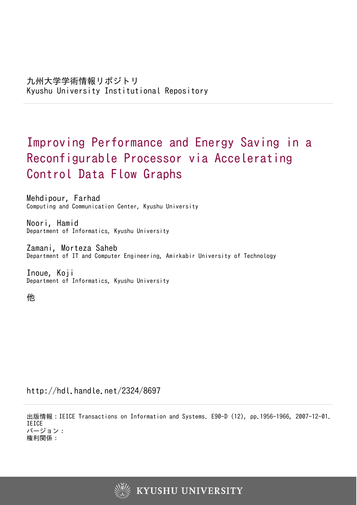# Improving Performance and Energy Saving in a Reconfigurable Processor via Accelerating Control Data Flow Graphs

Mehdipour, Farhad Computing and Communication Center, Kyushu University

Noori, Hamid Department of Informatics, Kyushu University

Zamani, Morteza Saheb Department of IT and Computer Engineering, Amirkabir University of Technology

Inoue, Koji Department of Informatics, Kyushu University

他

http://hdl.handle.net/2324/8697

出版情報:IEICE Transactions on Information and Systems. E90-D (12), pp.1956-1966, 2007-12-01. IEICE バージョン: 権利関係:

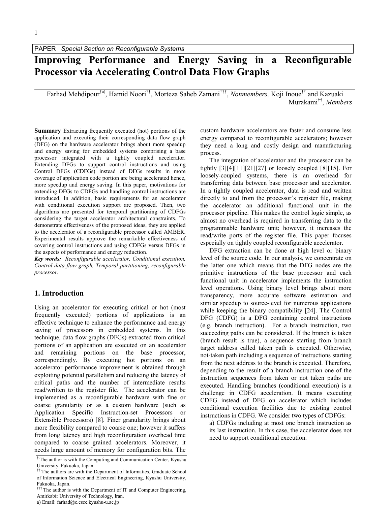# Improving Performance and Energy Saving in a Reconfigurable Processor via Accelerating Control Data Flow Graphs

Farhad Mehdipour<sup>†a)</sup>, Hamid Noori<sup>††</sup>, Morteza Saheb Zamani<sup>†††</sup>, *Nonmembers*, Koji Inoue<sup>††</sup> and Kazuaki Murakami<sup>††</sup>, *Members* 

Summary Extracting frequently executed (hot) portions of the application and executing their corresponding data flow graph (DFG) on the hardware accelerator brings about more speedup and energy saving for embedded systems comprising a base processor integrated with a tightly coupled accelerator. Extending DFGs to support control instructions and using Control DFGs (CDFGs) instead of DFGs results in more coverage of application code portion are being accelerated hence, more speedup and energy saving. In this paper, motivations for extending DFGs to CDFGs and handling control instructions are introduced. In addition, basic requirements for an accelerator with conditional execution support are proposed. Then, two algorithms are presented for temporal partitioning of CDFGs considering the target accelerator architectural constraints. To demonstrate effectiveness of the proposed ideas, they are applied to the accelerator of a reconfigurable processor called AMBER. Experimental results approve the remarkable effectiveness of covering control instructions and using CDFGs versus DFGs in the aspects of performance and energy reduction.

Key words: Reconfigurable accelerator, Conditional execution, Control data flow graph, Temporal partitioning, reconfigurable processor.

#### 1. Introduction

Using an accelerator for executing critical or hot (most frequently executed) portions of applications is an effective technique to enhance the performance and energy saving of processors in embedded systems. In this technique, data flow graphs (DFGs) extracted from critical portions of an application are executed on an accelerator and remaining portions on the base processor, correspondingly. By executing hot portions on an accelerator performance improvement is obtained through exploiting potential parallelism and reducing the latency of critical paths and the number of intermediate results read/written to the register file. The accelerator can be implemented as a reconfigurable hardware with fine or coarse granularity or as a custom hardware (such as Application Specific Instruction-set Processors or Extensible Processors) [8]. Finer granularity brings about more flexibility compared to coarse one; however it suffers from long latency and high reconfiguration overhead time compared to coarse grained accelerators. Moreover, it needs large amount of memory for configuration bits. The

a) Email: farhad@c.csce.kyushu-u.ac.jp

custom hardware accelerators are faster and consume less energy compared to reconfigurable accelerators; however they need a long and costly design and manufacturing process.

The integration of accelerator and the processor can be tightly  $[3][4][11][21][27]$  or loosely coupled  $[8][15]$ . For loosely-coupled systems, there is an overhead for transferring data between base processor and accelerator. In a tightly coupled accelerator, data is read and written directly to and from the processor's register file, making the accelerator an additional functional unit in the processor pipeline. This makes the control logic simple, as almost no overhead is required in transferring data to the programmable hardware unit; however, it increases the read/write ports of the register file. This paper focuses especially on tightly coupled reconfigurable accelerator.

DFG extraction can be done at high level or binary level of the source code. In our analysis, we concentrate on the latter one which means that the DFG nodes are the primitive instructions of the base processor and each functional unit in accelerator implements the instruction level operations. Using binary level brings about more transparency, more accurate software estimation and similar speedup to source-level for numerous applications while keeping the binary compatibility [24]. The Control DFG (CDFG) is a DFG containing control instructions (e.g. branch instruction). For a branch instruction, two succeeding paths can be considered. If the branch is taken (branch result is true), a sequence starting from branch target address called taken path is executed. Otherwise, not-taken path including a sequence of instructions starting from the next address to the branch is executed. Therefore, depending to the result of a branch instruction one of the instruction sequences from taken or not taken paths are executed. Handling branches (conditional execution) is a challenge in CDFG acceleration. It means executing CDFG instead of DFG on accelerator which includes conditional execution facilities due to existing control instructions in CDFG. We consider two types of CDFGs:

a) CDFGs including at most one branch instruction as its last instruction. In this case, the accelerator does not need to support conditional execution.

<sup>†</sup> The author is with the Computing and Communication Center, Kyushu University, Fukuoka, Japan.

<sup>&</sup>lt;sup>††</sup> The authors are with the Department of Informatics, Graduate School of Information Science and Electrical Engineering, Kyushu University, Fukuoka, Japan.

 $\ddagger$ <sup>†††</sup> The author is with the Department of IT and Computer Engineering, Amirkabir University of Technology, Iran.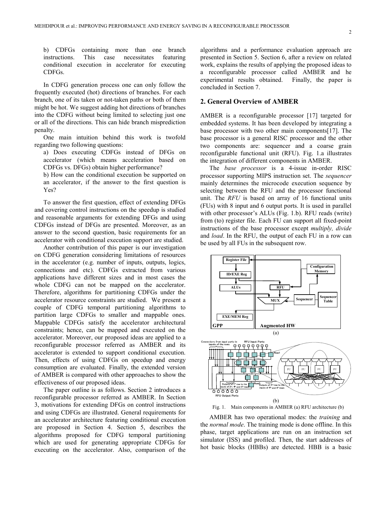b) CDFGs containing more than one branch instructions. This case necessitates featuring conditional execution in accelerator for executing CDFGs.

In CDFG generation process one can only follow the frequently executed (hot) directions of branches. For each branch, one of its taken or not-taken paths or both of them might be hot. We suggest adding hot directions of branches into the CDFG without being limited to selecting just one or all of the directions. This can hide branch misprediction penalty.

One main intuition behind this work is twofold regarding two following questions:

a) Does executing CDFGs instead of DFGs on accelerator (which means acceleration based on CDFGs vs. DFGs) obtain higher performance?

b) How can the conditional execution be supported on an accelerator, if the answer to the first question is Yes?

To answer the first question, effect of extending DFGs and covering control instructions on the speedup is studied and reasonable arguments for extending DFGs and using CDFGs instead of DFGs are presented. Moreover, as an answer to the second question, basic requirements for an accelerator with conditional execution support are studied.

Another contribution of this paper is our investigation on CDFG generation considering limitations of resources in the accelerator (e.g. number of inputs, outputs, logics, connections and etc). CDFGs extracted from various applications have different sizes and in most cases the whole CDFG can not be mapped on the accelerator. Therefore, algorithms for partitioning CDFGs under the accelerator resource constraints are studied. We present a couple of CDFG temporal partitioning algorithms to partition large CDFGs to smaller and mappable ones. Mappable CDFGs satisfy the accelerator architectural constraints; hence, can be mapped and executed on the accelerator. Moreover, our proposed ideas are applied to a reconfigurable processor referred as AMBER and its accelerator is extended to support conditional execution. Then, effects of using CDFGs on speedup and energy consumption are evaluated. Finally, the extended version of AMBER is compared with other approaches to show the effectiveness of our proposed ideas.

The paper outline is as follows. Section 2 introduces a reconfigurable processor referred as AMBER. In Section 3, motivations for extending DFGs on control instructions and using CDFGs are illustrated. General requirements for an accelerator architecture featuring conditional execution are proposed in Section 4. Section 5, describes the algorithms proposed for CDFG temporal partitioning which are used for generating appropriate CDFGs for executing on the accelerator. Also, comparison of the

algorithms and a performance evaluation approach are presented in Section 5. Section 6, after a review on related work, explains the results of applying the proposed ideas to a reconfigurable processor called AMBER and he experimental results obtained. Finally, the paper is concluded in Section 7.

#### 2. General Overview of AMBER

AMBER is a reconfigurable processor [17] targeted for embedded systems. It has been developed by integrating a base processor with two other main components [17]. The base processor is a general RISC processor and the other two components are: sequencer and a coarse grain reconfigurable functional unit (RFU). Fig. 1.a illustrates the integration of different components in AMBER.

The base processor is a 4-issue in-order RISC processor supporting MIPS instruction set. The sequencer mainly determines the microcode execution sequence by selecting between the RFU and the processor functional unit. The RFU is based on array of 16 functional units (FUs) with 8 input and 6 output ports. It is used in parallel with other processor's ALUs (Fig. 1.b). RFU reads (write) from (to) register file. Each FU can support all fixed-point instructions of the base processor except multiply, divide and *load*. In the RFU, the output of each FU in a row can be used by all FUs in the subsequent row.



AMBER has two operational modes: the *training* and the *normal mode*. The training mode is done offline. In this phase, target applications are run on an instruction set simulator (ISS) and profiled. Then, the start addresses of hot basic blocks (HBBs) are detected. HBB is a basic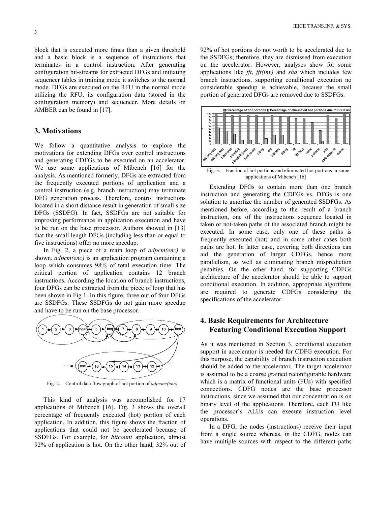block that is executed more times than a given threshold and a basic block is a sequence of instructions that terminates in a control instruction. After generating configuration bit-streams for extracted DFGs and initiating sequencer tables in training mode it switches to the normal mode. DFGs are executed on the RFU in the normal mode utilizing the RFU, its configuration data (stored in the configuration memory) and sequencer. More details on AMBER can be found in [17].

#### 3. Motivations

We follow a quantitative analysis to explore the motivations for extending DFGs over control instructions and generating CDFGs to be executed on an accelerator. We use some applications of Mibench [16] for the analysis. As mentioned formerly, DFGs are extracted from the frequently executed portions of application and a control instruction (e.g. branch instruction) may terminate DFG generation process. Therefore, control instructions located in a short distance result in generation of small size DFGs (SSDFG). In fact, SSDFGs are not suitable for improving performance in application execution and have to be run on the base processor. Authors showed in [13] that the small length DFGs (including less than or equal to five instructions) offer no more speedup.

In Fig. 2, a piece of a main loop of  $adpcm(enc)$  is shown. *adpcm(enc)* is an application program containing a loop which consumes 98% of total execution time. The critical portion of application contains 12 branch instructions. According the location of branch instructions, four DFGs can be extracted from the piece of loop that has been shown in Fig 1. In this figure, three out of four DFGs are SSDFGs. These SSDFGs do not gain more speedup and have to be run on the base processor.



Fig. 2. Control data flow graph of hot portion of *adpcmc(enc)* 

This kind of analysis was accomplished for 17 applications of Mibench [16]. Fig. 3 shows the overall percentage of frequently executed (hot) portion of each application. In addition, this figure shows the fraction of applications that could not be accelerated because of SSDFGs. For example, for bitcount application, almost 92% of application is hot. On the other hand, 32% out of 92% of hot portions do not worth to be accelerated due to the SSDFGs; therefore, they are dismissed from execution on the accelerator. However, analyses show for some applications like  $fft$ ,  $fft$ (inv) and sha which includes few branch instructions, supporting conditional execution no considerable speedup is achievable, because the small portion of generated DFGs are removed due to SSDFGs.



applications of Mibench [16]

Extending DFGs to contain more than one branch instruction and generating the CDFGs vs. DFGs is one solution to amortize the number of generated SSDFGs. As mentioned before, according to the result of a branch instruction, one of the instructions sequence located in taken or not-taken paths of the associated branch might be executed. In some case, only one of these paths is frequently executed (hot) and in some other cases both paths are hot. In latter case, covering both directions can aid the generation of larger CDFGs, hence more parallelism, as well as eliminating branch misprediction penalties. On the other hand, for supporting CDFGs architecture of the accelerator should be able to support conditional execution. In addition, appropriate algorithms are required to generate CDFGs considering the specifications of the accelerator.

### 4. Basic Requirements for Architecture Featuring Conditional Execution Support

As it was mentioned in Section 3, conditional execution support in accelerator is needed for CDFG execution. For this purpose, the capability of branch instruction execution should be added to the accelerator. The target accelerator is assumed to be a coarse grained reconfigurable hardware which is a matrix of functional units (FUs) with specified connections. CDFG nodes are the base processor instructions, since we assumed that our concentration is on binary level of the applications. Therefore, each FU like the processor's ALUs can execute instruction level operations.

In a DFG, the nodes (instructions) receive their input from a single source whereas, in the CDFG, nodes can have multiple sources with respect to the different paths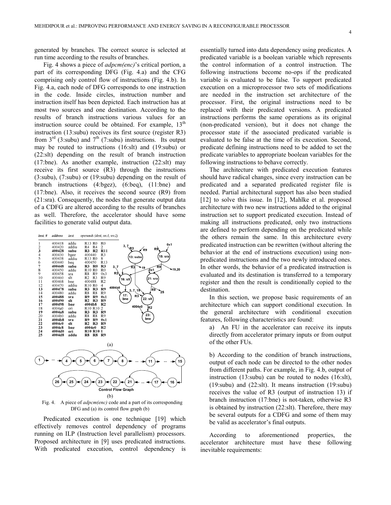generated by branches. The correct source is selected at run time according to the results of branches.

Fig. 4 shows a piece of *adpcm(enc)*'s critical portion, a part of its corresponding DFG (Fig. 4.a) and the CFG comprising only control flow of instructions (Fig. 4.b). In Fig. 4.a, each node of DFG corresponds to one instruction in the code. Inside circles, instruction number and instruction itself has been depicted. Each instruction has at most two sources and one destination. According to the results of branch instructions various values for an instruction source could be obtained. For example,  $13<sup>th</sup>$ instruction (13:subu) receives its first source (register R3) from  $3<sup>rd</sup>$  (3:subu) and  $7<sup>th</sup>$  (7:subu) instructions. Its output may be routed to instructions (16:slt) and (19:subu) or (22:slt) depending on the result of branch instruction (17:bne). As another example, instruction (22:slt) may receive its first source (R3) through the instructions (3:subu), (7:subu) or (19:subu) depending on the result of branch instructions (4:bgez), (6:beq), (11:bne) and (17:bne). Also, it receives the second source (R9) from (21:sra). Consequently, the nodes that generate output data of a CDFG are altered according to the results of branches as well. Therefore, the accelerator should have some facilities to generate valid output data.



Fig. 4. A piece of *adpcm(enc)* code and a part of its corresponding DFG and (a) its control flow graph (b)

Predicated execution is one technique [19] which effectively removes control dependency of programs running on ILP (Instruction level parallelism) processors. Proposed architecture in [9] uses predicated instructions. With predicated execution, control dependency is

essentially turned into data dependency using predicates. A predicated variable is a boolean variable which represents the control information of a control instruction. The following instructions become no-ops if the predicated variable is evaluated to be false. To support predicated execution on a microprocessor two sets of modifications are needed in the instruction set architecture of the processor. First, the original instructions need to be replaced with their predicated versions. A predicated instructions performs the same operations as its original (non-predicated version), but it does not change the processor state if the associated predicated variable is evaluated to be false at the time of its execution. Second, predicate defining instructions need to be added to set the predicate variables to appropriate boolean variables for the following instructions to behave correctly.

The architecture with predicated execution features should have radical changes, since every instruction can be predicated and a separated predicated register file is needed. Partial architectural support has also been studied [12] to solve this issue. In [12], Mahlke et al. proposed architecture with two new instructions added to the original instruction set to support predicated execution. Instead of making all instructions predicated, only two instructions are defined to perform depending on the predicated while the others remain the same. In this architecture every predicated instruction can be rewritten (without altering the behavior at the end of instructions execution) using nonpredicated instructions and the two newly introduced ones. In other words, the behavior of a predicated instruction is evaluated and its destination is transferred to a temporary register and then the result is conditionally copied to the destination.

In this section, we propose basic requirements of an architecture which can support conditional execution. In the general architecture with conditional execution features, following characteristics are found:

a) An FU in the accelerator can receive its inputs directly from accelerator primary inputs or from output of the other FUs.

b) According to the condition of branch instructions, output of each node can be directed to the other nodes from different paths. For example, in Fig. 4.b, output of instruction (13:subu) can be routed to nodes (16:slt), (19:subu) and (22:slt). It means instruction (19:subu) receives the value of R3 (output of instruction 13) if branch instruction (17:bne) is not-taken, otherwise R3 is obtained by instruction (22:slt). Therefore, there may be several outputs for a CDFG and some of them may be valid as accelerator's final outputs.

According to aforementioned properties, the accelerator architecture must have these following inevitable requirements: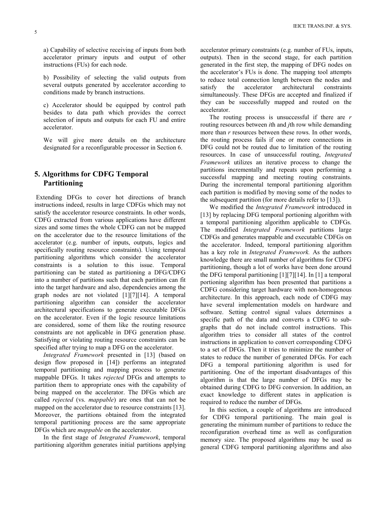a) Capability of selective receiving of inputs from both accelerator primary inputs and output of other instructions (FUs) for each node.

b) Possibility of selecting the valid outputs from several outputs generated by accelerator according to conditions made by branch instructions.

c) Accelerator should be equipped by control path besides to data path which provides the correct selection of inputs and outputs for each FU and entire accelerator.

We will give more details on the architecture designated for a reconfigurable processor in Section 6.

## 5. Algorithms for CDFG Temporal Partitioning

 Extending DFGs to cover hot directions of branch instructions indeed, results in large CDFGs which may not satisfy the accelerator resource constraints. In other words, CDFG extracted from various applications have different sizes and some times the whole CDFG can not be mapped on the accelerator due to the resource limitations of the accelerator (e.g. number of inputs, outputs, logics and specifically routing resource constraints). Using temporal partitioning algorithms which consider the accelerator constraints is a solution to this issue. Temporal partitioning can be stated as partitioning a DFG/CDFG into a number of partitions such that each partition can fit into the target hardware and also, dependencies among the graph nodes are not violated [1][7][14]. A temporal partitioning algorithm can consider the accelerator architectural specifications to generate executable DFGs on the accelerator. Even if the logic resource limitations are considered, some of them like the routing resource constraints are not applicable in DFG generation phase. Satisfying or violating routing resource constraints can be specified after trying to map a DFG on the accelerator.

Integrated Framework presented in [13] (based on design flow proposed in [14]) performs an integrated temporal partitioning and mapping process to generate mappable DFGs. It takes rejected DFGs and attempts to partition them to appropriate ones with the capability of being mapped on the accelerator. The DFGs which are called rejected (vs. mappable) are ones that can not be mapped on the accelerator due to resource constraints [13]. Moreover, the partitions obtained from the integrated temporal partitioning process are the same appropriate DFGs which are mappable on the accelerator.

In the first stage of Integrated Framework, temporal partitioning algorithm generates initial partitions applying

accelerator primary constraints (e.g. number of FUs, inputs, outputs). Then in the second stage, for each partition generated in the first step, the mapping of DFG nodes on the accelerator's FUs is done. The mapping tool attempts to reduce total connection length between the nodes and satisfy the accelerator architectural constraints simultaneously. These DFGs are accepted and finalized if they can be successfully mapped and routed on the accelerator.

The routing process is unsuccessful if there are  $r$ routing resources between *i*th and *j*th row while demanding more than r resources between these rows. In other words, the routing process fails if one or more connections in DFG could not be routed due to limitation of the routing resources. In case of unsuccessful routing, Integrated Framework utilizes an iterative process to change the partitions incrementally and repeats upon performing a successful mapping and meeting routing constraints. During the incremental temporal partitioning algorithm each partition is modified by moving some of the nodes to the subsequent partition (for more details refer to [13]).

We modified the *Integrated Framework* introduced in [13] by replacing DFG temporal portioning algorithm with a temporal partitioning algorithm applicable to CDFGs. The modified Integrated Framework partitions large CDFGs and generates mappable and executable CDFGs on the accelerator. Indeed, temporal partitioning algorithm has a key role in *Integrated Framework*. As the authors knowledge there are small number of algorithms for CDFG partitioning, though a lot of works have been done around the DFG temporal partitioning  $[1][7][14]$ . In  $[1]$  a temporal portioning algorithm has been presented that partitions a CDFG considering target hardware with non-homogenous architecture. In this approach, each node of CDFG may have several implementation models on hardware and software. Setting control signal values determines a specific path of the data and converts a CDFG to subgraphs that do not include control instructions. This algorithm tries to consider all states of the control instructions in application to convert corresponding CDFG to a set of DFGs. Then it tries to minimize the number of states to reduce the number of generated DFGs. For each DFG a temporal partitioning algorithm is used for partitioning. One of the important disadvantages of this algorithm is that the large number of DFGs may be obtained during CDFG to DFG conversion. In addition, an exact knowledge to different states in application is required to reduce the number of DFGs.

In this section, a couple of algorithms are introduced for CDFG temporal partitioning. The main goal is generating the minimum number of partitions to reduce the reconfiguration overhead time as well as configuration memory size. The proposed algorithms may be used as general CDFG temporal partitioning algorithms and also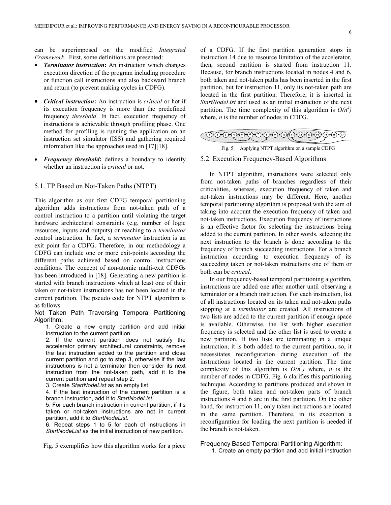6

can be superimposed on the modified Integrated Framework. First, some definitions are presented:

- **Terminator instruction:** An instruction which changes execution direction of the program including procedure or function call instructions and also backward branch and return (to prevent making cycles in CDFG).
- Critical instruction: An instruction is critical or hot if its execution frequency is more than the predefined frequency threshold. In fact, execution frequency of instructions is achievable through profiling phase. One method for profiling is running the application on an instruction set simulator (ISS) and gathering required information like the approaches used in  $[17][18]$ .
- **Frequency threshold:** defines a boundary to identify whether an instruction is *critical* or not.

#### 5.1. TP Based on Not-Taken Paths (NTPT)

This algorithm as our first CDFG temporal partitioning algorithm adds instructions from not-taken path of a control instruction to a partition until violating the target hardware architectural constraints (e.g. number of logic resources, inputs and outputs) or reaching to a terminator control instruction. In fact, a terminator instruction is an exit point for a CDFG. Therefore, in our methodology a CDFG can include one or more exit-points according the different paths achieved based on control instructions conditions. The concept of non-atomic multi-exit CDFGs has been introduced in [18]. Generating a new partition is started with branch instructions which at least one of their taken or not-taken instructions has not been located in the current partition. The pseudo code for NTPT algorithm is as follows:

Not Taken Path Traversing Temporal Partitioning Algorithm:

1. Create a new empty partition and add initial instruction to the current partition

2. If the current partition does not satisfy the accelerator primary architectural constraints, remove the last instruction added to the partition and close current partition and go to step 3, otherwise if the last instructions is not a terminator then consider its next instruction from the not-taken path, add it to the current partition and repeat step 2.

3. Create StartNodeList as an empty list.

4. If the last instruction of the current partition is a branch instruction, add it to StartNodeList.

5. For each branch instruction in current partition, if it's taken or not-taken instructions are not in current partition, add it to StartNodeList.

6. Repeat steps 1 to 5 for each of instructions in StartNodeList as the initial instruction of new partition.

Fig. 5 exemplifies how this algorithm works for a piece

of a CDFG. If the first partition generation stops in instruction 14 due to resource limitation of the accelerator, then, second partition is started from instruction 11. Because, for branch instructions located in nodes 4 and 6, both taken and not-taken paths has been inserted in the first partition, but for instruction 11, only its not-taken path are located in the first partition. Therefore, it is inserted in StartNodeList and used as an initial instruction of the next partition. The time complexity of this algorithm is  $O(n^2)$ where,  $n$  is the number of nodes in CDFG.

| 0000000000000 | $\sqrt{16}$ $\sqrt{17}$ |
|---------------|-------------------------|
|               |                         |
|               |                         |

Fig. 5. Applying NTPT algorithm on a sample CDFG

#### 5.2. Execution Frequency-Based Algorithms

In NTPT algorithm, instructions were selected only from not-taken paths of branches regardless of their criticalities, whereas, execution frequency of taken and not-taken instructions may be different. Here, another temporal partitioning algorithm is proposed with the aim of taking into account the execution frequency of taken and not-taken instructions. Execution frequency of instructions is an effective factor for selecting the instructions being added to the current partition. In other words, selecting the next instruction to the branch is done according to the frequency of branch succeeding instructions. For a branch instruction according to execution frequency of its succeeding taken or not-taken instructions one of them or both can be *critical*.

In our frequency-based temporal partitioning algorithm, instructions are added one after another until observing a terminator or a branch instruction. For each instruction, list of all instructions located on its taken and not-taken paths stopping at a *terminator* are created. All instructions of two lists are added to the current partition if enough space is available. Otherwise, the list with higher execution frequency is selected and the other list is used to create a new partition. If two lists are terminating in a unique instruction, it is both added to the current partition, so, it necessitates reconfiguration during execution of the instructions located in the current partition. The time complexity of this algorithm is  $O(n^3)$  where, *n* is the number of nodes in CDFG. Fig. 6 clarifies this partitioning technique. According to partitions produced and shown in the figure, both taken and not-taken parts of branch instructions 4 and 6 are in the first partition. On the other hand, for instruction 11, only taken instructions are located in the same partition. Therefore, in its execution a reconfiguration for loading the next partition is needed if the branch is not-taken.

Frequency Based Temporal Partitioning Algorithm:

1. Create an empty partition and add initial instruction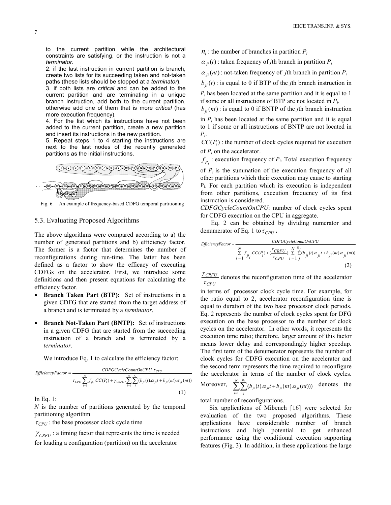to the current partition while the architectural constraints are satisfying, or the instruction is not a terminator.

2. if the last instruction in current partition is branch, create two lists for its succeeding taken and not-taken paths (these lists should be stopped at a terminator).

3. if both lists are critical and can be added to the current partition and are terminating in a unique branch instruction, add both to the current partition, otherwise add one of them that is more critical (has more execution frequency).

4. For the list which its instructions have not been added to the current partition, create a new partition and insert its instructions in the new partition.

5. Repeat steps 1 to 4 starting the instructions are next to the last nodes of the recently generated partitions as the initial instructions.



Fig. 6. An example of frequency-based CDFG temporal partitioning

#### 5.3. Evaluating Proposed Algorithms

The above algorithms were compared according to a) the number of generated partitions and b) efficiency factor. The former is a factor that determines the number of reconfigurations during run-time. The latter has been defined as a factor to show the efficacy of executing CDFGs on the accelerator. First, we introduce some definitions and then present equations for calculating the efficiency factor.

- Branch Taken Part (BTP): Set of instructions in a given CDFG that are started from the target address of a branch and is terminated by a terminator.
- Branch Not-Taken Part (BNTP): Set of instructions in a given CDFG that are started from the succeeding instruction of a branch and is terminated by a terminator.

We introduce Eq. 1 to calculate the efficiency factor:

$$
EfficiencyFactor = \frac{CDFGCycleCountOnCPU.r_{CPU}}{r_{CPU} \sum_{i=1}^{N} f_{p_i} . CC(P_i) + \gamma_{CRFU} . \sum_{i=1}^{N} \sum_{j}^{n_i} (b_{ji}(t).\alpha_{ji}t + b_{ji}(nt).\alpha_{ji}(nt))}
$$
\n(1)

In Eq. 1:

 $N$  is the number of partitions generated by the temporal partitioning algorithm

 $\tau_{CPI}$ : the base processor clock cycle time

 $\gamma_{\text{CRFII}}$ : a timing factor that represents the time is needed for loading a configuration (partition) on the accelerator

 $n_i$ : the number of branches in partition  $P_i$ 

 $\alpha_{ji}(t)$ : taken frequency of *j*th branch in partition  $P_i$ 

 $\alpha_{ii}$ (nt): not-taken frequency of *j*th branch in partition  $P_i$ 

 $b_{ji}(t)$ : is equal to 0 if BTP of the *j*th branch instruction in

 $P_i$  has been located at the same partition and it is equal to 1 if some or all instructions of BTP are not located in  $P_i$ .

 $b_{ji}(nt)$ : is equal to 0 if BNTP of the *j*th branch instruction

in  $P_i$  has been located at the same partition and it is equal to 1 if some or all instructions of BNTP are not located in  $P_{i}$ .

 $CC(P<sub>i</sub>)$ : the number of clock cycles required for execution of  $P_i$  on the accelerator.

 $f_{p_i}$ : execution frequency of  $P_i$ . Total execution frequency

of  $P_i$  is the summation of the execution frequency of all other partitions which their execution may cause to starting Pi . For each partition which its execution is independent from other partitions, execution frequency of its first instruction is considered.

CDFGCycleCountOnCPU: number of clock cycles spent for CDFG execution on the CPU in aggregate.

 Eq. 2 can be obtained by dividing numerator and denumerator of Eq. 1 to  $\tau_{CPU}$ .

$$
EfficiencyFactor = \frac{CDFGCycleCountONCPU}{\sum_{i=1}^{N} f_{p_i} CC(P_i) + (\frac{\gamma_{CRFU}}{\tau_{CPU}}) \cdot \sum_{i=1}^{N} \sum_{j}^{n_i} (b_{ji}(t).\alpha_{ji}t + b_{ji}(nt).\alpha_{ji}(nt))}
$$
\n(2)

 $\tau_{CPU}$  $\frac{\gamma_{CRFU}}{\gamma_{CRFU}}$  denotes the reconfiguration time of the accelerator

in terms of processor clock cycle time. For example, for the ratio equal to 2, accelerator reconfiguration time is equal to duration of the two base processor clock periods. Eq. 2 represents the number of clock cycles spent for DFG execution on the base processor to the number of clock cycles on the accelerator. In other words, it represents the execution time ratio; therefore, larger amount of this factor means lower delay and correspondingly higher speedup. The first term of the denumerator represents the number of clock cycles for CDFG execution on the accelerator and the second term represents the time required to reconfigure the accelerator in terms of the number of clock cycles. Moreover,  $\sum_{i}^{n} ( b_{ii}(t) \alpha_{ii} t + b_{ii}(nt) \alpha_{ii}(nt) )$  $\sum_{i=1}^N\sum_j^{n_i}(b_{ji}(t).\alpha_{ji}t +$ i n  $\sum_{j}$  $\sum_{ji}$  $\sum_{j}$  $\sum_{ji}$  $\sum_{ji}$  $\sum_{ji}$  $\sum_{ji}$  $\int_{0}^{t} (b_{ii}(t) \alpha_{ii} t + b_{ii}(nt) \alpha_{ii}(nt)))$  denotes the

total number of reconfigurations.

Six applications of Mibench [16] were selected for evaluation of the two proposed algorithms. These applications have considerable number of branch instructions and high potential to get enhanced performance using the conditional execution supporting features (Fig. 3). In addition, in these applications the large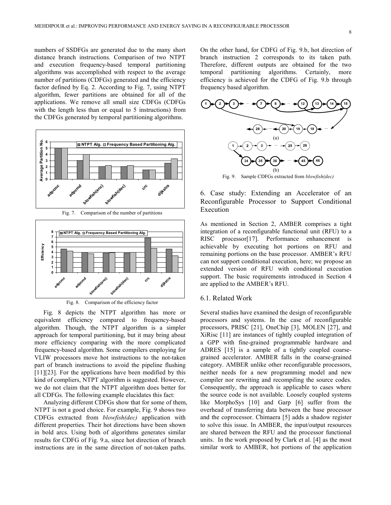numbers of SSDFGs are generated due to the many short distance branch instructions. Comparison of two NTPT and execution frequency-based temporal partitioning algorithms was accomplished with respect to the average number of partitions (CDFGs) generated and the efficiency factor defined by Eq. 2. According to Fig. 7, using NTPT algorithm, fewer partitions are obtained for all of the applications. We remove all small size CDFGs (CDFGs with the length less than or equal to 5 instructions) from the CDFGs generated by temporal partitioning algorithms.









 Fig. 8 depicts the NTPT algorithm has more or equivalent efficiency compared to frequency-based algorithm. Though, the NTPT algorithm is a simpler approach for temporal partitioning, but it may bring about more efficiency comparing with the more complicated frequency-based algorithm. Some compilers employing for VLIW processors move hot instructions to the not-taken part of branch instructions to avoid the pipeline flushing  $[11] [23]$ . For the applications have been modified by this kind of compliers, NTPT algorithm is suggested. However, we do not claim that the NTPT algorithm does better for all CDFGs. The following example elucidates this fact:

Analyzing different CDFGs show that for some of them, NTPT is not a good choice. For example, Fig. 9 shows two CDFGs extracted from blowfish(dec) application with different properties. Their hot directions have been shown in bold arcs. Using both of algorithms generates similar results for CDFG of Fig. 9.a, since hot direction of branch instructions are in the same direction of not-taken paths.

On the other hand, for CDFG of Fig. 9.b, hot direction of branch instruction 2 corresponds to its taken path. Therefore, different outputs are obtained for the two temporal partitioning algorithms. Certainly, more efficiency is achieved for the CDFG of Fig. 9.b through frequency based algorithm.



6. Case study: Extending an Accelerator of an Reconfigurable Processor to Support Conditional Execution

As mentioned in Section 2, AMBER comprises a tight integration of a reconfigurable functional unit (RFU) to a RISC processor[17]. Performance enhancement is achievable by executing hot portions on RFU and remaining portions on the base processor. AMBER's RFU can not support conditional execution, here; we propose an extended version of RFU with conditional execution support. The basic requirements introduced in Section 4 are applied to the AMBER's RFU.

#### 6.1. Related Work

Several studies have examined the design of reconfigurable processors and systems. In the case of reconfigurable processors, PRISC [21], OneChip [3], MOLEN [27], and XiRisc [11] are instances of tightly coupled integration of a GPP with fine-grained programmable hardware and ADRES [15] is a sample of a tightly coupled coarsegrained accelerator. AMBER falls in the coarse-grained category. AMBER unlike other reconfigurable processors, neither needs for a new programming model and new compiler nor rewriting and recompiling the source codes. Consequently, the approach is applicable to cases where the source code is not available. Loosely coupled systems like MorphoSys [10] and Garp [6] suffer from the overhead of transferring data between the base processor and the coprocessor. Chimaera [5] adds a shadow register to solve this issue. In AMBER, the input/output resources are shared between the RFU and the processor functional units. In the work proposed by Clark et al. [4] as the most similar work to AMBER, hot portions of the application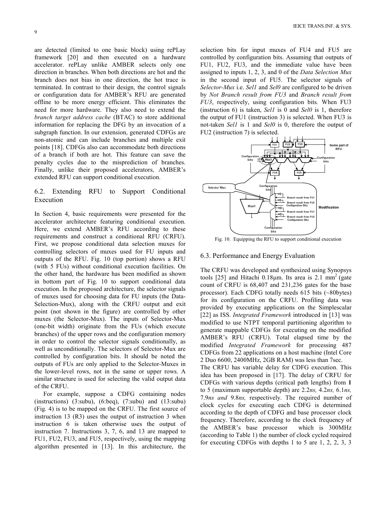are detected (limited to one basic block) using rePLay framework [20] and then executed on a hardware accelerator. rePLay unlike AMBER selects only one direction in branches. When both directions are hot and the branch does not bias in one direction, the hot trace is terminated. In contrast to their design, the control signals or configuration data for AMBER's RFU are generated offline to be more energy efficient. This eliminates the need for more hardware. They also need to extend the branch target address cache (BTAC) to store additional information for replacing the DFG by an invocation of a subgraph function. In our extension, generated CDFGs are non-atomic and can include branches and multiple exit points [18]. CDFGs also can accommodate both directions of a branch if both are hot. This feature can save the penalty cycles due to the misprediction of branches. Finally, unlike their proposed accelerators, AMBER's extended RFU can support conditional execution.

#### 6.2. Extending RFU to Support Conditional Execution

In Section 4, basic requirements were presented for the accelerator architecture featuring conditional execution. Here, we extend AMBER's RFU according to these requirements and construct a conditional RFU (CRFU). First, we propose conditional data selection muxes for controlling selectors of muxes used for FU inputs and outputs of the RFU. Fig. 10 (top portion) shows a RFU (with 5 FUs) without conditional execution facilities. On the other hand, the hardware has been modified as shown in bottom part of Fig. 10 to support conditional data execution. In the proposed architecture, the selector signals of muxes used for choosing data for FU inputs (the Data-Selection-Mux), along with the CRFU output and exit point (not shown in the figure) are controlled by other muxes (the Selector-Mux). The inputs of Selector-Mux (one-bit width) originate from the FUs (which execute branches) of the upper rows and the configuration memory in order to control the selector signals conditionally, as well as unconditionally. The selectors of Selector-Mux are controlled by configuration bits. It should be noted the outputs of FUs are only applied to the Selector-Muxes in the lower-level rows, not in the same or upper rows. A similar structure is used for selecting the valid output data of the CRFU.

For example, suppose a CDFG containing nodes (instructions) (3:subu), (6:beq), (7:subu) and (13:subu) ( Fig. 4) is to be mapped on the CRFU. The first source of instruction 13 (R3) uses the output of instruction 3 when instruction 6 is taken otherwise uses the output of instruction 7. Instructions 3, 7, 6, and 13 are mapped to FU1, FU2, FU3, and FU5, respectively, using the mapping algorithm presented in [13]. In this architecture, the selection bits for input muxes of FU4 and FU5 are controlled by configuration bits. Assuming that outputs of FU1, FU2, FU3, and the immediate value have been assigned to inputs 1, 2, 3, and 0 of the *Data Selection Mux* in the second input of FU5. The selector signals of Selector-Mux i.e. Sell and Sel0 are configured to be driven by Not Branch result from FU3 and Branch result from FU3, respectively, using configuration bits. When FU3 (instruction 6) is taken, Sell is 0 and Sel0 is 1, therefore the output of FU1 (instruction 3) is selected. When FU3 is not-taken Sell is 1 and Sel0 is 0, therefore the output of FU2 (instruction 7) is selected.



Fig. 10. Equipping the RFU to support conditional execution

#### 6.3. Performance and Energy Evaluation

The CRFU was developed and synthesized using Synopsys tools [25] and Hitachi 0.18 $\mu$ m. Its area is 2.1 mm<sup>2</sup> (gate count of CRFU is 68,407 and 231,236 gates for the base processor). Each CDFG totally needs 615 bits (~80bytes) for its configuration on the CRFU. Profiling data was provided by executing applications on the Simplescalar [22] as ISS. Integrated Framework introduced in [13] was modified to use NTPT temporal partitioning algorithm to generate mappable CDFGs for executing on the modified AMBER's RFU (CRFU). Total elapsed time by the modified Integrated Framework for processing 487 CDFGs from 22 applications on a host machine (Intel Core 2 Duo 6600, 2400MHz, 2GB RAM) was less than 7sec. The CRFU has variable delay for CDFG execution. This idea has been proposed in [17]. The delay of CRFU for CDFGs with various depths (critical path lengths) from 1 to 5 (maximum supportable depth) are  $2.2ns$ ,  $4.2ns$ ,  $6.1ns$ , 7.9ns and 9.8ns, respectively. The required number of

clock cycles for executing each CDFG is determined according to the depth of CDFG and base processor clock frequency. Therefore, according to the clock frequency of the AMBER's base processor which is 300MHz (according to Table 1) the number of clock cycled required for executing CDFGs with depths 1 to 5 are 1, 2, 2, 3, 3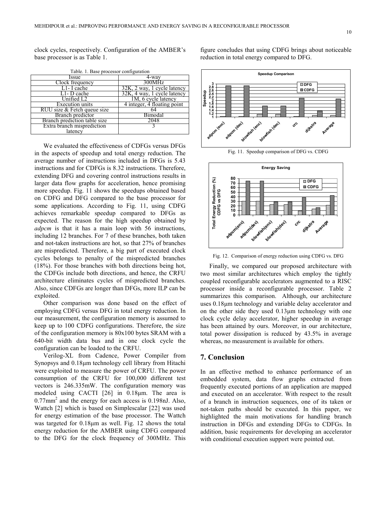clock cycles, respectively. Configuration of the AMBER's base processor is as Table 1.

| Table. 1. Base processor configuration |                                |  |  |  |  |
|----------------------------------------|--------------------------------|--|--|--|--|
| Issue                                  | 4-wav                          |  |  |  |  |
| Clock frequency                        | 300MHz                         |  |  |  |  |
| $LI$ - I cache                         | $32K$ , 2 way, 1 cycle latency |  |  |  |  |
| $\overline{L1}$ - D cache              | 32K, 4 way, 1 cycle latency    |  |  |  |  |
| Unified L2                             | 1M, 6 cycle latency            |  |  |  |  |
| Execution units                        | 4 integer, 4 floating point    |  |  |  |  |
| RUU size & Fetch queue size            |                                |  |  |  |  |
| Branch predictor                       | Bimodal                        |  |  |  |  |
| Branch prediction table size           | 2048                           |  |  |  |  |
| Extra branch misprediction             |                                |  |  |  |  |
| latency                                |                                |  |  |  |  |

We evaluated the effectiveness of CDFGs versus DFGs in the aspects of speedup and total energy reduction. The average number of instructions included in DFGs is 5.43 instructions and for CDFGs is 8.32 instructions. Therefore, extending DFG and covering control instructions results in larger data flow graphs for acceleration, hence promising more speedup. Fig. 11 shows the speedups obtained based on CDFG and DFG compared to the base processor for some applications. According to Fig. 11, using CDFG achieves remarkable speedup compared to DFGs as expected. The reason for the high speedup obtained by adpcm is that it has a main loop with 56 instructions, including 12 branches. For 7 of these branches, both taken and not-taken instructions are hot, so that 27% of branches are mispredicted. Therefore, a big part of executed clock cycles belongs to penalty of the mispredicted branches (18%). For those branches with both directions being hot, the CDFGs include both directions, and hence, the CRFU architecture eliminates cycles of mispredicted branches. Also, since CDFGs are longer than DFGs, more ILP can be exploited.

Other comparison was done based on the effect of employing CDFG versus DFG in total energy reduction. In our measurement, the configuration memory is assumed to keep up to 100 CDFG configurations. Therefore, the size of the configuration memory is 80x100 bytes SRAM with a 640-bit width data bus and in one clock cycle the configuration can be loaded to the CRFU.

Verilog-XL from Cadence, Power Compiler from Synopsys and 0.18µm technology cell library from Hitachi were exploited to measure the power of CRFU. The power consumption of the CRFU for 100,000 different test vectors is 246.335mW. The configuration memory was modeled using CACTI [26] in 0.18µm. The area is  $0.77$ mm<sup>2</sup> and the energy for each access is  $0.198$ nJ. Also, Wattch [2] which is based on Simplescalar [22] was used for energy estimation of the base processor. The Wattch was targeted for 0.18µm as well. Fig. 12 shows the total energy reduction for the AMBER using CDFG compared to the DFG for the clock frequency of 300MHz. This

figure concludes that using CDFG brings about noticeable reduction in total energy compared to DFG.



Fig. 11. Speedup comparison of DFG vs. CDFG



Fig. 12. Comparison of energy reduction using CDFG vs. DFG

Finally, we compared our proposed architecture with two most similar architectures which employ the tightly coupled reconfigurable accelerators augmented to a RISC processor inside a reconfigurable processor. Table 2 summarizes this comparison. Although, our architecture uses 0.18µm technology and variable delay accelerator and on the other side they used 0.13µm technology with one clock cycle delay accelerator, higher speedup in average has been attained by ours. Moreover, in our architecture, total power dissipation is reduced by 43.5% in average whereas, no measurement is available for others.

#### 7. Conclusion

In an effective method to enhance performance of an embedded system, data flow graphs extracted from frequently executed portions of an application are mapped and executed on an accelerator. With respect to the result of a branch in instruction sequences, one of its taken or not-taken paths should be executed. In this paper, we highlighted the main motivations for handling branch instruction in DFGs and extending DFGs to CDFGs. In addition, basic requirements for developing an accelerator with conditional execution support were pointed out.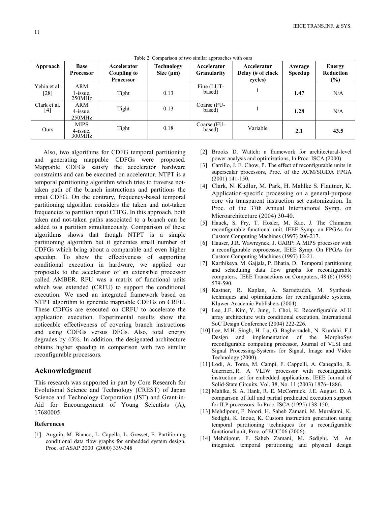| Approach             | <b>Base</b><br><b>Processor</b>   | Accelerator<br>Coupling to<br><b>Processor</b> | Technology<br>Size $(\mu m)$ | Accelerator<br><b>Granularity</b> | Accelerator<br>Delay (# of clock<br>cycles) | Average<br><b>Speedup</b> | Energy<br>Reduction<br>$(\%)$ |
|----------------------|-----------------------------------|------------------------------------------------|------------------------------|-----------------------------------|---------------------------------------------|---------------------------|-------------------------------|
| Yehia et al.<br>[28] | ARM<br>l-issue,<br>250MHz         | Tight                                          | 0.13                         | Fine (LUT-<br>based)              |                                             | 1.47                      | N/A                           |
| Clark et al.<br>[4]  | ARM<br>4-issue,<br>250MHz         | Tight                                          | 0.13                         | Coarse (FU-<br>based)             |                                             | 1.28                      | N/A                           |
| Ours                 | <b>MIPS</b><br>4-issue.<br>300MHz | Tight                                          | 0.18                         | Coarse (FU-<br>based)             | Variable                                    | 2.1                       | 43.5                          |

Table 2: Comparison of two similar approaches with ours

Also, two algorithms for CDFG temporal partitioning and generating mappable CDFGs were proposed. Mappable CDFGs satisfy the accelerator hardware constraints and can be executed on accelerator. NTPT is a temporal partitioning algorithm which tries to traverse nottaken path of the branch instructions and partitions the input CDFG. On the contrary, frequency-based temporal partitioning algorithm considers the taken and not-taken frequencies to partition input CDFG. In this approach, both taken and not-taken paths associated to a branch can be added to a partition simultaneously. Comparison of these algorithms shows that though NTPT is a simple partitioning algorithm but it generates small number of CDFGs which bring about a comparable and even higher speedup. To show the effectiveness of supporting conditional execution in hardware, we applied our proposals to the accelerator of an extensible processor called AMBER. RFU was a matrix of functional units which was extended (CRFU) to support the conditional execution. We used an integrated framework based on NTPT algorithm to generate mappable CDFGs on CRFU. These CDFGs are executed on CRFU to accelerate the application execution. Experimental results show the noticeable effectiveness of covering branch instructions and using CDFGs versus DFGs. Also, total energy degrades by 43%. In addition, the designated architecture obtains higher speedup in comparison with two similar reconfigurable processors.

#### Acknowledgment

This research was supported in part by Core Research for Evolutional Science and Technology (CREST) of Japan Science and Technology Corporation (JST) and Grant-in-Aid for Encouragement of Young Scientists (A), 17680005.

#### References

[1] Auguin, M. Bianco, L. Capella, L. Gresset, E. Partitioning conditional data flow graphs for embedded system design, Proc. of ASAP 2000 (2000) 339-348

- [2] Brooks D. Wattch: a framework for architectural-level power analysis and optimizations, In Proc. ISCA (2000)
- [3] Carrillo, J. E. Chow, P. The effect of reconfigurable units in superscalar processors, Proc. of the ACM/SIGDA FPGA (2001) 141-150.
- [4] Clark, N. Kudlur, M. Park, H. Mahlke S. Flautner, K. Application-specific processing on a general-purpose core via transparent instruction set customization. In Proc. of the 37th Annual International Symp. on Microarchitecture (2004) 30-40.
- [5] Hauck, S. Fry, T. Hosler, M. Kao, J. The Chimaera reconfigurable functional unit, IEEE Symp. on FPGAs for Custom Computing Machines (1997) 206-217.
- [6] Hauser, J.R. Wawrzynek, J. GARP: A MIPS processor with a reconfigurable coprocessor, IEEE Symp. On FPGAs for Custom Computing Machines (1997) 12-21.
- [7] Karthikeya, M. Gajjala, P. Bhatia, D. Temporal partitioning and scheduling data flow graphs for reconfigurable computers, IEEE Transactions on Computers, 48 (6) (1999) 579-590.
- [8] Kastner, R. Kaplan, A. Sarrafzadeh, M. Synthesis techniques and optimizations for reconfigurable systems, Kluwer-Academic Publishers (2004).
- [9] Lee, J.E. Kim, Y. Jung, J. Choi, K. Reconfigurable ALU array architecture with conditional execution, International SoC Design Conference (2004) 222-226.
- [10] Lee, M.H. Singh, H. Lu, G. Bagherzadeh, N. Kurdahi, F.J Design and implementation of the MorphoSys reconfigurable computing processor, Journal of VLSI and Signal Processing-Systems for Signal, Image and Video Technology (2000).
- [11] Lodi, A. Toma, M. Campi, F. Cappelli, A. Canegallo, R. Guerrieri, R. A VLIW processor with reconfigurable instruction set for embedded applications, IEEE Journal of Solid-State Circuits, Vol. 38, No. 11 (2003) 1876–1886.
- [12] Mahlke, S. A. Hank, R. E. McCormick. J.E. August. D. A comparison of full and partial predicated execution support for ILP processors. In Proc. ISCA (1995) 138-150.
- [13] Mehdipour, F. Noori, H. Saheb Zamani, M. Murakami, K. Sedighi, K. Inoue, K. Custom instruction generation using temporal partitioning techniques for a reconfigurable functional unit, Proc. of EUC'06 (2006).
- [14] Mehdipour, F. Saheb Zamani, M. Sedighi, M. An integrated temporal partitioning and physical design